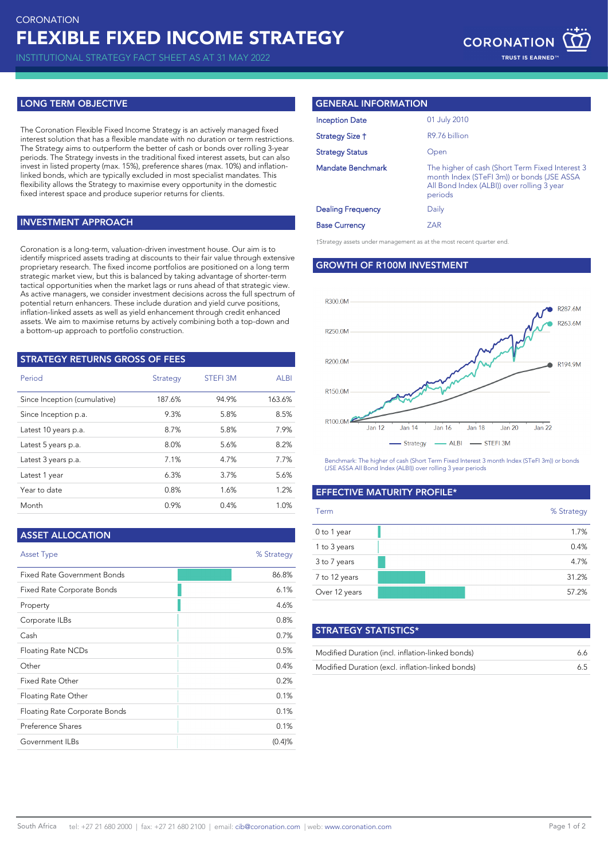INSTITUTIONAL STRATEGY FACT SHEET AS AT 31 MAY 2022

## **LONG TERM OBJECTIVE**

The Coronation Flexible Fixed Income Strategy is an actively managed fixed interest solution that has a flexible mandate with no duration or term restrictions. The Strategy aims to outperform the better of cash or bonds over rolling 3-year periods. The Strategy invests in the traditional fixed interest assets, but can also invest in listed property (max. 15%), preference shares (max. 10%) and inflationlinked bonds, which are typically excluded in most specialist mandates. This flexibility allows the Strategy to maximise every opportunity in the domestic fixed interest space and produce superior returns for clients.

#### **INVESTMENT APPROACH**

Coronation is a long-term, valuation-driven investment house. Our aim is to identify mispriced assets trading at discounts to their fair value through extensive proprietary research. The fixed income portfolios are positioned on a long term strategic market view, but this is balanced by taking advantage of shorter-term tactical opportunities when the market lags or runs ahead of that strategic view. As active managers, we consider investment decisions across the full spectrum of potential return enhancers. These include duration and yield curve positions, inflation-linked assets as well as yield enhancement through credit enhanced assets. We aim to maximise returns by actively combining both a top-down and a bottom-up approach to portfolio construction.

#### **STRATEGY RETURNS GROSS OF FEES**

| Period                       | Strategy | <b>STEFI 3M</b> | <b>ALBI</b> |
|------------------------------|----------|-----------------|-------------|
| Since Inception (cumulative) | 187.6%   | 94.9%           | 163.6%      |
| Since Inception p.a.         | 9.3%     | 5.8%            | 8.5%        |
| Latest 10 years p.a.         | 8.7%     | 5.8%            | 7.9%        |
| Latest 5 years p.a.          | 8.0%     | 5.6%            | 8.2%        |
| Latest 3 years p.a.          | 7.1%     | 4.7%            | 7.7%        |
| Latest 1 year                | 6.3%     | 3.7%            | 5.6%        |
| Year to date                 | 0.8%     | 1.6%            | 1.2%        |
| Month                        | 0.9%     | 0.4%            | 1.0%        |

| <b>ASSET ALLOCATION</b>            |            |
|------------------------------------|------------|
| <b>Asset Type</b>                  | % Strategy |
| <b>Fixed Rate Government Bonds</b> | 86.8%      |
| Fixed Rate Corporate Bonds         | 6.1%       |
| Property                           | 4.6%       |
| Corporate ILBs                     | 0.8%       |
| Cash                               | 0.7%       |
| Floating Rate NCDs                 | 0.5%       |
| Other                              | 0.4%       |
| Fixed Rate Other                   | 0.2%       |
| Floating Rate Other                | 0.1%       |
| Floating Rate Corporate Bonds      | 0.1%       |
| Preference Shares                  | 0.1%       |
| Government ILBs                    | (0.4)%     |
|                                    |            |

### **GENERAL INFORMATION**

| <b>Inception Date</b>    | 01 July 2010                                                                                                                                           |
|--------------------------|--------------------------------------------------------------------------------------------------------------------------------------------------------|
| Strategy Size †          | R9.76 billion                                                                                                                                          |
| <b>Strategy Status</b>   | Open                                                                                                                                                   |
| Mandate Benchmark        | The higher of cash (Short Term Fixed Interest 3<br>month Index (STeFI 3m)) or bonds (JSE ASSA<br>All Bond Index (ALBI)) over rolling 3 year<br>periods |
| <b>Dealing Frequency</b> | Daily                                                                                                                                                  |
| <b>Base Currency</b>     | ZAR                                                                                                                                                    |

†Strategy assets under management as at the most recent quarter end.

# **GROWTH OF R100M INVESTMENT**



Benchmark: The higher of cash (Short Term Fixed Interest 3 month Index (STeFI 3m)) or bonds (JSE ASSA All Bond Index (ALBI)) over rolling 3 year periods

# **EFFECTIVE MATURITY PROFILE\***

| Term          |  | % Strategy |
|---------------|--|------------|
| 0 to 1 year   |  | 1.7%       |
| 1 to 3 years  |  | 0.4%       |
| 3 to 7 years  |  | 4.7%       |
| 7 to 12 years |  | 31.2%      |
| Over 12 years |  | 57.2%      |

| <b>STRATEGY STATISTICS*</b>                      |    |
|--------------------------------------------------|----|
| Modified Duration (incl. inflation-linked bonds) | 66 |
| Modified Duration (excl. inflation-linked bonds) | 65 |